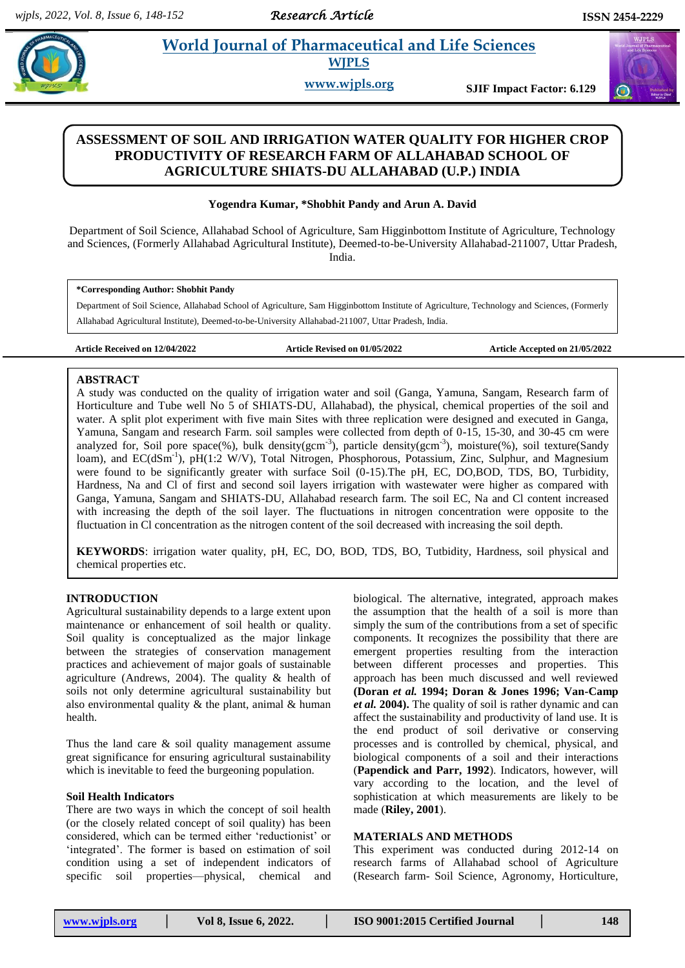# **Paradigm 2 Pharmaceutical and Life Sciences**

**WJPLS**

**www.wjpls.org SJIF Impact Factor: 6.129**

# **ASSESSMENT OF SOIL AND IRRIGATION WATER QUALITY FOR HIGHER CROP PRODUCTIVITY OF RESEARCH FARM OF ALLAHABAD SCHOOL OF AGRICULTURE SHIATS-DU ALLAHABAD (U.P.) INDIA**

# **Yogendra Kumar, \*Shobhit Pandy and Arun A. David**

Department of Soil Science, Allahabad School of Agriculture, Sam Higginbottom Institute of Agriculture, Technology and Sciences, (Formerly Allahabad Agricultural Institute), Deemed-to-be-University Allahabad-211007, Uttar Pradesh, India.

#### **\*Corresponding Author: Shobhit Pandy**

Department of Soil Science, Allahabad School of Agriculture, Sam Higginbottom Institute of Agriculture, Technology and Sciences, (Formerly Allahabad Agricultural Institute), Deemed-to-be-University Allahabad-211007, Uttar Pradesh, India.

**Article Received on 12/04/2022 Article Revised on 01/05/2022 Article Accepted on 21/05/2022**

# **ABSTRACT**

A study was conducted on the quality of irrigation water and soil (Ganga, Yamuna, Sangam, Research farm of Horticulture and Tube well No 5 of SHIATS-DU, Allahabad), the physical, chemical properties of the soil and water. A split plot experiment with five main Sites with three replication were designed and executed in Ganga, Yamuna, Sangam and research Farm. soil samples were collected from depth of 0-15, 15-30, and 30-45 cm were analyzed for, Soil pore space(%), bulk density(gcm<sup>-3</sup>), particle density(gcm<sup>-3</sup>), moisture(%), soil texture(Sandy loam), and EC(dSm<sup>-1</sup>), pH(1:2 W/V), Total Nitrogen, Phosphorous, Potassium, Zinc, Sulphur, and Magnesium were found to be significantly greater with surface Soil (0-15). The pH, EC, DO,BOD, TDS, BO, Turbidity, Hardness, Na and Cl of first and second soil layers irrigation with wastewater were higher as compared with Ganga, Yamuna, Sangam and SHIATS-DU, Allahabad research farm. The soil EC, Na and Cl content increased with increasing the depth of the soil layer. The fluctuations in nitrogen concentration were opposite to the fluctuation in Cl concentration as the nitrogen content of the soil decreased with increasing the soil depth.

**KEYWORDS**: irrigation water quality, pH, EC, DO, BOD, TDS, BO, Tutbidity, Hardness, soil physical and chemical properties etc.

## **INTRODUCTION**

Agricultural sustainability depends to a large extent upon maintenance or enhancement of soil health or quality. Soil quality is conceptualized as the major linkage between the strategies of conservation management practices and achievement of major goals of sustainable agriculture (Andrews, 2004). The quality  $\&$  health of soils not only determine agricultural sustainability but also environmental quality  $\&$  the plant, animal  $\&$  human health.

Thus the land care & soil quality management assume great significance for ensuring agricultural sustainability which is inevitable to feed the burgeoning population.

## **Soil Health Indicators**

There are two ways in which the concept of soil health (or the closely related concept of soil quality) has been considered, which can be termed either 'reductionist' or 'integrated'. The former is based on estimation of soil condition using a set of independent indicators of specific soil properties—physical, chemical and

biological. The alternative, integrated, approach makes the assumption that the health of a soil is more than simply the sum of the contributions from a set of specific components. It recognizes the possibility that there are emergent properties resulting from the interaction between different processes and properties. This approach has been much discussed and well reviewed **(Doran** *et al.* **1994; Doran & Jones 1996; Van-Camp**  *et al.* **2004).** The quality of soil is rather dynamic and can affect the sustainability and productivity of land use. It is the end product of soil derivative or conserving processes and is controlled by chemical, physical, and biological components of a soil and their interactions (**Papendick and Parr, 1992**). Indicators, however, will vary according to the location, and the level of sophistication at which measurements are likely to be made (**Riley, 2001**).

# **MATERIALS AND METHODS**

This experiment was conducted during 2012-14 on research farms of Allahabad school of Agriculture (Research farm- Soil Science, Agronomy, Horticulture,

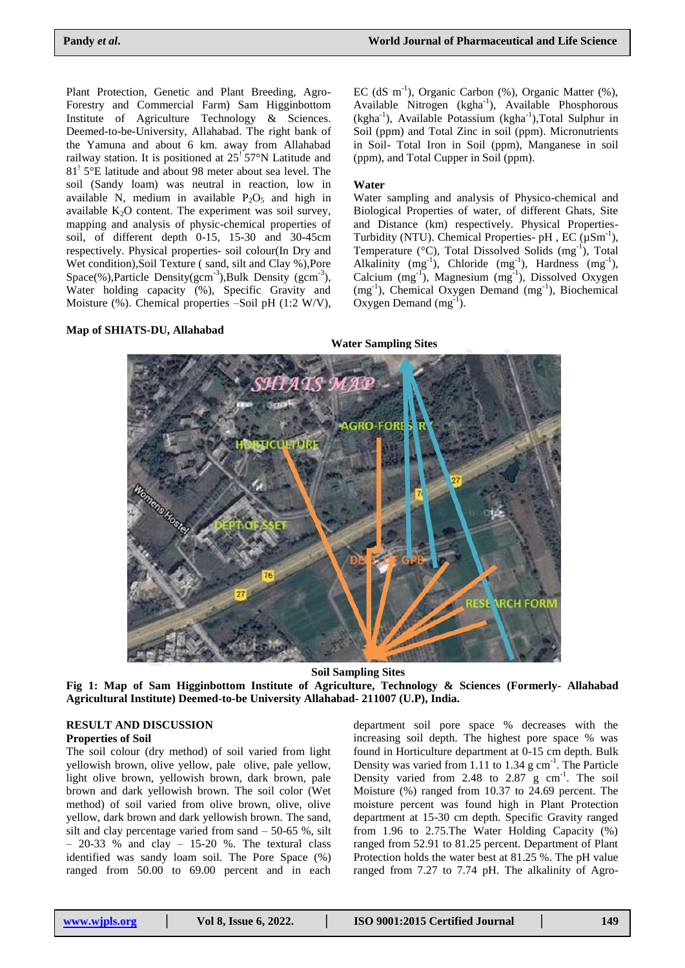Plant Protection, Genetic and Plant Breeding, Agro-Forestry and Commercial Farm) Sam Higginbottom Institute of Agriculture Technology & Sciences. Deemed-to-be-University, Allahabad. The right bank of the Yamuna and about 6 km. away from Allahabad railway station. It is positioned at  $25^{\circ}$  57°N Latitude and 81! 5°E latitude and about 98 meter about sea level. The soil (Sandy loam) was neutral in reaction, low in available N, medium in available  $P_2O_5$  and high in available  $K_2O$  content. The experiment was soil survey, mapping and analysis of physic-chemical properties of soil, of different depth 0-15, 15-30 and 30-45cm respectively. Physical properties- soil colour(In Dry and Wet condition),Soil Texture ( sand, silt and Clay %),Pore Space(%), Particle Density( $gcm^{-3}$ ), Bulk Density ( $gcm^{-3}$ ), Water holding capacity (%), Specific Gravity and Moisture (%). Chemical properties –Soil pH (1:2 W/V),

EC (dS m<sup>-1</sup>), Organic Carbon (%), Organic Matter (%), Available Nitrogen (kgha<sup>-1</sup>), Available Phosphorous (kgha<sup>-1</sup>), Available Potassium (kgha<sup>-1</sup>),Total Sulphur in Soil (ppm) and Total Zinc in soil (ppm). Micronutrients in Soil- Total Iron in Soil (ppm), Manganese in soil (ppm), and Total Cupper in Soil (ppm).

#### **Water**

Water sampling and analysis of Physico-chemical and Biological Properties of water, of different Ghats, Site and Distance (km) respectively. Physical Properties-Turbidity (NTU). Chemical Properties- pH, EC  $(\mu Sm^{-1})$ , Temperature (°C), Total Dissolved Solids (mg<sup>-1</sup>), Total Alkalinity  $(mg^{-1})$ , Chloride  $(mg^{-1})$ , Hardness  $(mg^{-1})$ , Calcium (mg<sup>-1</sup>), Magnesium (mg<sup>-1</sup>), Dissolved Oxygen (mg<sup>-1</sup>), Chemical Oxygen Demand (mg<sup>-1</sup>), Biochemical Oxygen Demand  $(mg^{-1})$ .

#### **Map of SHIATS-DU, Allahabad**

 **Water Sampling Sites**



 **Soil Sampling Sites**

**Fig 1: Map of Sam Higginbottom Institute of Agriculture, Technology & Sciences (Formerly- Allahabad Agricultural Institute) Deemed-to-be University Allahabad- 211007 (U.P), India.**

# **RESULT AND DISCUSSION**

# **Properties of Soil**

The soil colour (dry method) of soil varied from light yellowish brown, olive yellow, pale olive, pale yellow, light olive brown, yellowish brown, dark brown, pale brown and dark yellowish brown. The soil color (Wet method) of soil varied from olive brown, olive, olive yellow, dark brown and dark yellowish brown. The sand, silt and clay percentage varied from sand  $-50-65$  %, silt  $-$  20-33 % and clay  $-$  15-20 %. The textural class identified was sandy loam soil. The Pore Space (%) ranged from 50.00 to 69.00 percent and in each

department soil pore space % decreases with the increasing soil depth. The highest pore space % was found in Horticulture department at 0-15 cm depth. Bulk Density was varied from  $1.11$  to  $1.34$  g cm<sup>-1</sup>. The Particle Density varied from  $2.48$  to  $2.87$  g cm<sup>-1</sup>. The soil Moisture (%) ranged from 10.37 to 24.69 percent. The moisture percent was found high in Plant Protection department at 15-30 cm depth. Specific Gravity ranged from 1.96 to 2.75.The Water Holding Capacity (%) ranged from 52.91 to 81.25 percent. Department of Plant Protection holds the water best at 81.25 %. The pH value ranged from 7.27 to 7.74 pH. The alkalinity of Agro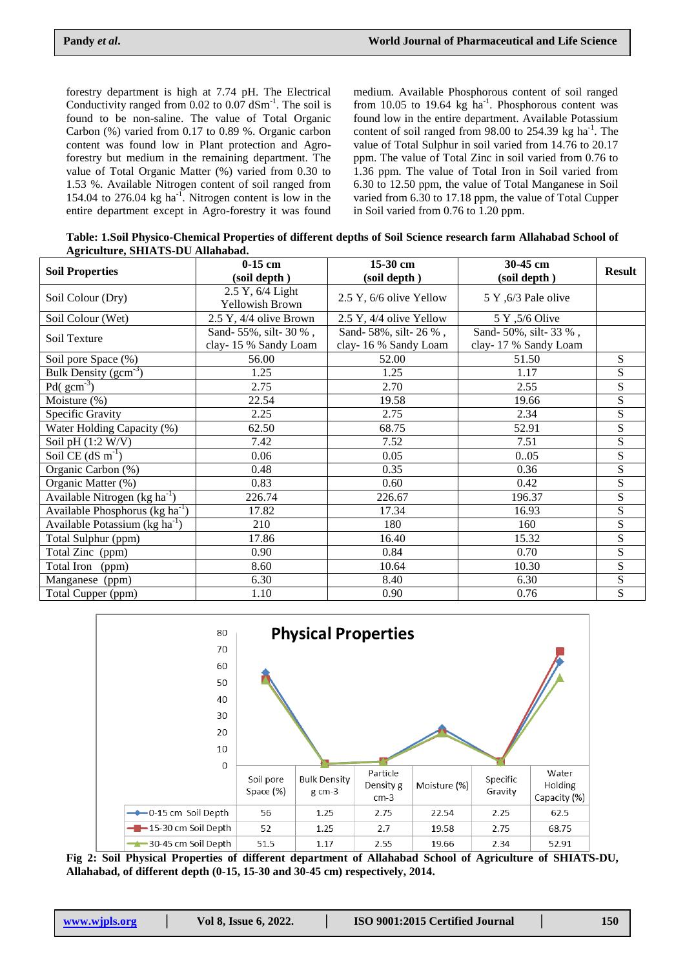forestry department is high at 7.74 pH. The Electrical Conductivity ranged from  $0.02$  to  $0.07$  dSm<sup>-1</sup>. The soil is found to be non-saline. The value of Total Organic Carbon (%) varied from 0.17 to 0.89 %. Organic carbon content was found low in Plant protection and Agroforestry but medium in the remaining department. The value of Total Organic Matter (%) varied from 0.30 to 1.53 %. Available Nitrogen content of soil ranged from 154.04 to 276.04  $kg$  ha<sup>-1</sup>. Nitrogen content is low in the entire department except in Agro-forestry it was found

medium. Available Phosphorous content of soil ranged from 10.05 to 19.64  $kg$  ha<sup>-1</sup>. Phosphorous content was found low in the entire department. Available Potassium content of soil ranged from  $98.00$  to  $254.39$  kg ha<sup>-1</sup>. The value of Total Sulphur in soil varied from 14.76 to 20.17 ppm. The value of Total Zinc in soil varied from 0.76 to 1.36 ppm. The value of Total Iron in Soil varied from 6.30 to 12.50 ppm, the value of Total Manganese in Soil varied from 6.30 to 17.18 ppm, the value of Total Cupper in Soil varied from 0.76 to 1.20 ppm.

**Table: 1.Soil Physico-Chemical Properties of different depths of Soil Science research farm Allahabad School of Agriculture, SHIATS-DU Allahabad.**

| <b>Soil Properties</b>                        | $0-15$ cm<br>(soil depth)                   | 15-30 cm<br>(soil depth)                    | 30-45 cm<br>(soil depth)                    | <b>Result</b>  |
|-----------------------------------------------|---------------------------------------------|---------------------------------------------|---------------------------------------------|----------------|
| Soil Colour (Dry)                             | 2.5 Y, 6/4 Light<br>Yellowish Brown         | 2.5 Y, 6/6 olive Yellow                     | 5 Y, 6/3 Pale olive                         |                |
| Soil Colour (Wet)                             | 2.5 Y, 4/4 olive Brown                      | 2.5 Y, 4/4 olive Yellow                     | 5 Y ,5/6 Olive                              |                |
| Soil Texture                                  | Sand-55%, silt-30%,<br>clay-15 % Sandy Loam | Sand-58%, silt-26%,<br>clay-16 % Sandy Loam | Sand-50%, silt-33%,<br>clay-17 % Sandy Loam |                |
| Soil pore Space (%)                           | 56.00                                       | 52.00                                       | 51.50                                       | ${\bf S}$      |
| Bulk Density $(gcm^{-3})$                     | 1.25                                        | 1.25                                        | 1.17                                        | ${\bf S}$      |
| Pd( $\text{gcm}^{-3}$ )                       | 2.75                                        | 2.70                                        | 2.55                                        | ${\bf S}$      |
| Moisture (%)                                  | 22.54                                       | 19.58                                       | 19.66                                       | ${\bf S}$      |
| Specific Gravity                              | 2.25                                        | 2.75                                        | 2.34                                        | ${\bf S}$      |
| Water Holding Capacity (%)                    | 62.50                                       | 68.75                                       | 52.91                                       | ${\bf S}$      |
| Soil pH $(1:2$ W/V)                           | 7.42                                        | 7.52                                        | 7.51                                        | ${\bf S}$      |
| Soil CE $(dS \, m^{-1})$                      | 0.06                                        | 0.05                                        | 0.05                                        | ${\bf S}$      |
| Organic Carbon (%)                            | 0.48                                        | 0.35                                        | 0.36                                        | ${\bf S}$      |
| Organic Matter (%)                            | 0.83                                        | 0.60                                        | 0.42                                        | $\overline{S}$ |
| Available Nitrogen $(kg ha^{-1})$             | 226.74                                      | 226.67                                      | 196.37                                      | ${\bf S}$      |
| Available Phosphorus ( $kg \text{ ha}^{-1}$ ) | 17.82                                       | 17.34                                       | 16.93                                       | $\overline{S}$ |
| Available Potassium ( $kg \, ha^{-1}$ )       | 210                                         | 180                                         | 160                                         | ${\bf S}$      |
| Total Sulphur (ppm)                           | 17.86                                       | 16.40                                       | 15.32                                       | ${\bf S}$      |
| Total Zinc (ppm)                              | 0.90                                        | 0.84                                        | 0.70                                        | ${\bf S}$      |
| Total Iron<br>(ppm)                           | 8.60                                        | 10.64                                       | 10.30                                       | $\overline{S}$ |
| Manganese (ppm)                               | 6.30                                        | 8.40                                        | 6.30                                        | ${\bf S}$      |
| Total Cupper (ppm)                            | 1.10                                        | 0.90                                        | 0.76                                        | ${\bf S}$      |



**Fig 2: Soil Physical Properties of different department of Allahabad School of Agriculture of SHIATS-DU, Allahabad, of different depth (0-15, 15-30 and 30-45 cm) respectively, 2014.**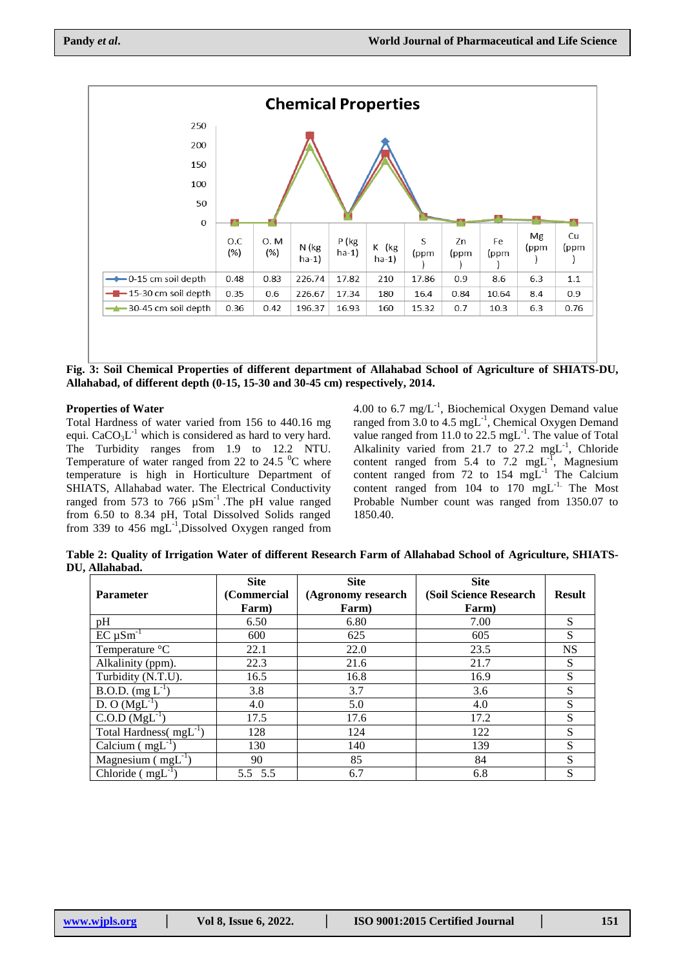

## **Properties of Water**

Total Hardness of water varied from 156 to 440.16 mg equi.  $CaCO<sub>3</sub>L<sup>-1</sup>$  which is considered as hard to very hard. The Turbidity ranges from 1.9 to 12.2 NTU. Temperature of water ranged from 22 to 24.5  $\mathrm{^{0}C}$  where temperature is high in Horticulture Department of SHIATS, Allahabad water. The Electrical Conductivity ranged from 573 to 766  $\mu$ Sm<sup>-1</sup>. The pH value ranged from 6.50 to 8.34 pH, Total Dissolved Solids ranged from 339 to 456  $mgL^{-1}$ , Dissolved Oxygen ranged from

4.00 to 6.7 mg/ $L^{-1}$ , Biochemical Oxygen Demand value ranged from  $3.0$  to  $4.5 \text{ mgL}^{-1}$ , Chemical Oxygen Demand value ranged from 11.0 to 22.5  $mgL^{-1}$ . The value of Total Alkalinity varied from 21.7 to 27.2 mgL<sup>-1</sup>, Chloride content ranged from 5.4 to 7.2  $mgL$ <sup>-1</sup>, Magnesium content ranged from 72 to 154  $mgL^{-1}$  The Calcium content ranged from 104 to 170 mgL<sup>-1.</sup> The Most Probable Number count was ranged from 1350.07 to 1850.40.

**Table 2: Quality of Irrigation Water of different Research Farm of Allahabad School of Agriculture, SHIATS-DU, Allahabad.**

|                                         | <b>Site</b> | <b>Site</b>        | <b>Site</b>            |               |
|-----------------------------------------|-------------|--------------------|------------------------|---------------|
| <b>Parameter</b>                        | (Commercial | (Agronomy research | (Soil Science Research | <b>Result</b> |
|                                         | Farm)       | Farm)              | Farm)                  |               |
| pH                                      | 6.50        | 6.80               | 7.00                   | S             |
| $EC \mu Sm^{-1}$                        | 600         | 625                | 605                    | S             |
| Temperature °C                          | 22.1        | 22.0               | 23.5                   | <b>NS</b>     |
| Alkalinity (ppm).                       | 22.3        | 21.6               | 21.7                   | S             |
| Turbidity (N.T.U).                      | 16.5        | 16.8               | 16.9                   | S             |
| B.O.D. $(mg L^{-1})$                    | 3.8         | 3.7                | 3.6                    | S             |
| $D. O (MgL^{-1})$                       | 4.0         | 5.0                | 4.0                    | S             |
| $\overline{C.O.D}$ (MgL <sup>-1</sup> ) | 17.5        | 17.6               | 17.2                   | S             |
| Total Hardness( $mgL^{-1}$ )            | 128         | 124                | 122                    | S             |
| Calcium $(mgL^{-1})$                    | 130         | 140                | 139                    | S             |
| Magnesium $(mgL^{-1})$                  | 90          | 85                 | 84                     | S             |
| Chloride $(mgL^{-1})$                   | 5.5 5.5     | 6.7                | 6.8                    | S             |